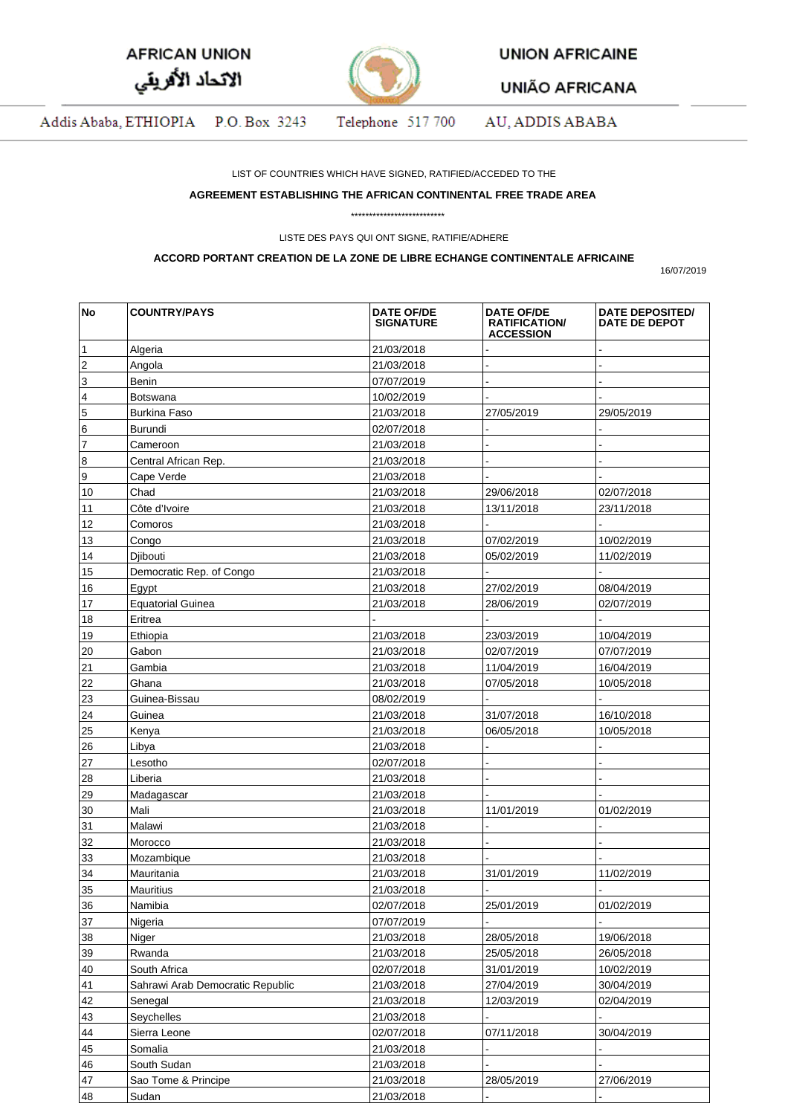| <b>AFRICAN UNION</b> |  |
|----------------------|--|
| الاتحاد الأفريقي     |  |



**UNION AFRICAINE** 

**UNIÃO AFRICANA** 

Addis Ababa, ETHIOPIA P.O. Box 3243 Telephone 517 700 AU, ADDIS ABABA

LIST OF COUNTRIES WHICH HAVE SIGNED, RATIFIED/ACCEDED TO THE

## **AGREEMENT ESTABLISHING THE AFRICAN CONTINENTAL FREE TRADE AREA**

\*\*\*\*\*\*\*\*\*\*\*\*\*\*\*\*\*\*\*\*\*\*\*\*\*\*

LISTE DES PAYS QUI ONT SIGNE, RATIFIE/ADHERE

## **ACCORD PORTANT CREATION DE LA ZONE DE LIBRE ECHANGE CONTINENTALE AFRICAINE**

16/07/2019

| <b>No</b> | <b>COUNTRY/PAYS</b>              | <b>DATE OF/DE</b><br><b>SIGNATURE</b> | <b>DATE OF/DE</b><br><b>RATIFICATION/</b><br><b>ACCESSION</b> | <b>DATE DEPOSITED/</b><br><b>DATE DE DEPOT</b> |
|-----------|----------------------------------|---------------------------------------|---------------------------------------------------------------|------------------------------------------------|
| 1         | Algeria                          | 21/03/2018                            |                                                               |                                                |
| 2         | Angola                           | 21/03/2018                            |                                                               |                                                |
| 3         | Benin                            | 07/07/2019                            |                                                               |                                                |
| 4         | Botswana                         | 10/02/2019                            |                                                               |                                                |
| 5         | <b>Burkina Faso</b>              | 21/03/2018                            | 27/05/2019                                                    | 29/05/2019                                     |
| 6         | Burundi                          | 02/07/2018                            |                                                               |                                                |
| 7         | Cameroon                         | 21/03/2018                            |                                                               |                                                |
| 8         | Central African Rep.             | 21/03/2018                            |                                                               |                                                |
| 9         | Cape Verde                       | 21/03/2018                            |                                                               |                                                |
| 10        | Chad                             | 21/03/2018                            | 29/06/2018                                                    | 02/07/2018                                     |
| 11        | Côte d'Ivoire                    | 21/03/2018                            | 13/11/2018                                                    | 23/11/2018                                     |
| 12        | Comoros                          | 21/03/2018                            |                                                               |                                                |
| 13        | Congo                            | 21/03/2018                            | 07/02/2019                                                    | 10/02/2019                                     |
| 14        | Djibouti                         | 21/03/2018                            | 05/02/2019                                                    | 11/02/2019                                     |
| 15        | Democratic Rep. of Congo         | 21/03/2018                            |                                                               |                                                |
| 16        | Egypt                            | 21/03/2018                            | 27/02/2019                                                    | 08/04/2019                                     |
| 17        | <b>Equatorial Guinea</b>         | 21/03/2018                            | 28/06/2019                                                    | 02/07/2019                                     |
| 18        | Eritrea                          |                                       |                                                               |                                                |
| 19        | Ethiopia                         | 21/03/2018                            | 23/03/2019                                                    | 10/04/2019                                     |
| 20        | Gabon                            | 21/03/2018                            | 02/07/2019                                                    | 07/07/2019                                     |
| 21        | Gambia                           |                                       |                                                               |                                                |
|           |                                  | 21/03/2018                            | 11/04/2019                                                    | 16/04/2019                                     |
| 22        | Ghana                            | 21/03/2018                            | 07/05/2018                                                    | 10/05/2018                                     |
| 23        | Guinea-Bissau                    | 08/02/2019                            |                                                               |                                                |
| 24        | Guinea                           | 21/03/2018                            | 31/07/2018                                                    | 16/10/2018                                     |
| 25        | Kenya                            | 21/03/2018                            | 06/05/2018                                                    | 10/05/2018                                     |
| 26        | Libya                            | 21/03/2018                            |                                                               |                                                |
| 27        | Lesotho                          | 02/07/2018                            |                                                               |                                                |
| 28        | Liberia                          | 21/03/2018                            |                                                               |                                                |
| 29        | Madagascar                       | 21/03/2018                            |                                                               |                                                |
| 30        | Mali                             | 21/03/2018                            | 11/01/2019                                                    | 01/02/2019                                     |
| 31        | Malawi                           | 21/03/2018                            |                                                               |                                                |
| 32        | Morocco                          | 21/03/2018                            |                                                               |                                                |
| 33        | Mozambique                       | 21/03/2018                            |                                                               |                                                |
| 34        | Mauritania                       | 21/03/2018                            | 31/01/2019                                                    | 11/02/2019                                     |
| 35        | Mauritius                        | 21/03/2018                            |                                                               |                                                |
| 36        | Namibia                          | 02/07/2018                            | 25/01/2019                                                    | 01/02/2019                                     |
| 37        | Nigeria                          | 07/07/2019                            |                                                               |                                                |
| 38        | Niger                            | 21/03/2018                            | 28/05/2018                                                    | 19/06/2018                                     |
| 39        | Rwanda                           | 21/03/2018                            | 25/05/2018                                                    | 26/05/2018                                     |
| 40        | South Africa                     | 02/07/2018                            | 31/01/2019                                                    | 10/02/2019                                     |
| 41        | Sahrawi Arab Democratic Republic | 21/03/2018                            | 27/04/2019                                                    | 30/04/2019                                     |
| 42        | Senegal                          | 21/03/2018                            | 12/03/2019                                                    | 02/04/2019                                     |
| 43        | Seychelles                       | 21/03/2018                            |                                                               |                                                |
| 44        | Sierra Leone                     | 02/07/2018                            | 07/11/2018                                                    | 30/04/2019                                     |
| 45        | Somalia                          | 21/03/2018                            |                                                               |                                                |
| 46        | South Sudan                      | 21/03/2018                            |                                                               |                                                |
| 47        | Sao Tome & Principe              | 21/03/2018                            | 28/05/2019                                                    | 27/06/2019                                     |
| 48        | Sudan                            | 21/03/2018                            |                                                               |                                                |